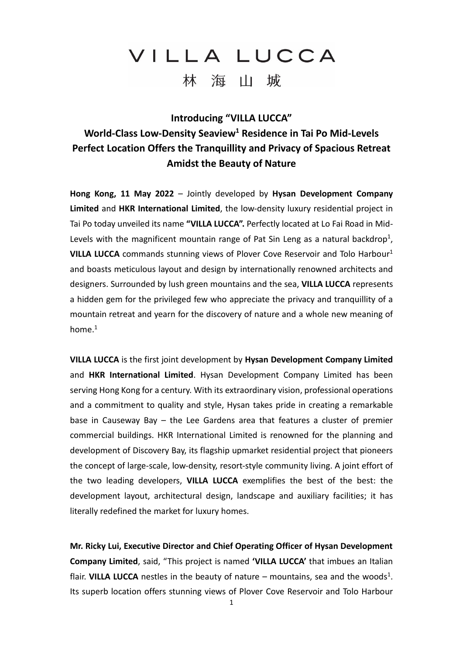**Introducing "VILLA LUCCA"**

#### **World-Class Low-Density Seaview<sup>1</sup> Residence in Tai Po Mid-Levels Perfect Location Offers the Tranquillity and Privacy of Spacious Retreat Amidst the Beauty of Nature**

**Hong Kong, 11 May 2022** – Jointly developed by **Hysan Development Company Limited** and **HKR International Limited**, the low-density luxury residential project in Tai Po today unveiled its name **"VILLA LUCCA".** Perfectly located at Lo Fai Road in Mid-Levels with the magnificent mountain range of Pat Sin Leng as a natural backdrop<sup>1</sup>, **VILLA LUCCA** commands stunning views of Plover Cove Reservoir and Tolo Harbour 1 and boasts meticulous layout and design by internationally renowned architects and designers. Surrounded by lush green mountains and the sea, **VILLA LUCCA** represents a hidden gem for the privileged few who appreciate the privacy and tranquillity of a mountain retreat and yearn for the discovery of nature and a whole new meaning of home.<sup>1</sup>

**VILLA LUCCA** is the first joint development by **Hysan Development Company Limited** and **HKR International Limited**. Hysan Development Company Limited has been serving Hong Kong for a century. With its extraordinary vision, professional operations and a commitment to quality and style, Hysan takes pride in creating a remarkable base in Causeway Bay – the Lee Gardens area that features a cluster of premier commercial buildings. HKR International Limited is renowned for the planning and development of Discovery Bay, its flagship upmarket residential project that pioneers the concept of large-scale, low-density, resort-style community living. A joint effort of the two leading developers, **VILLA LUCCA** exemplifies the best of the best: the development layout, architectural design, landscape and auxiliary facilities; it has literally redefined the market for luxury homes.

**Mr. Ricky Lui, Executive Director and Chief Operating Officer of Hysan Development Company Limited**, said, "This project is named **'VILLA LUCCA'** that imbues an Italian flair. VILLA LUCCA nestles in the beauty of nature  $-$  mountains, sea and the woods<sup>1</sup>. Its superb location offers stunning views of Plover Cove Reservoir and Tolo Harbour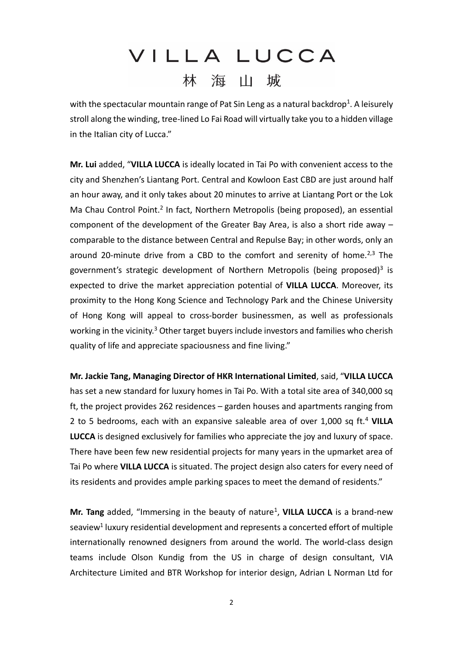with the spectacular mountain range of Pat Sin Leng as a natural backdrop<sup>1</sup>. A leisurely stroll along the winding, tree-lined Lo Fai Road will virtually take you to a hidden village in the Italian city of Lucca."

**Mr. Lui** added, "**VILLA LUCCA** is ideally located in Tai Po with convenient access to the city and Shenzhen's Liantang Port. Central and Kowloon East CBD are just around half an hour away, and it only takes about 20 minutes to arrive at Liantang Port or the Lok Ma Chau Control Point.<sup>2</sup> In fact, Northern Metropolis (being proposed), an essential component of the development of the Greater Bay Area, is also a short ride away – comparable to the distance between Central and Repulse Bay; in other words, only an around 20-minute drive from a CBD to the comfort and serenity of home.<sup>2,3</sup> The government's strategic development of Northern Metropolis (being proposed)<sup>3</sup> is expected to drive the market appreciation potential of **VILLA LUCCA**. Moreover, its proximity to the Hong Kong Science and Technology Park and the Chinese University of Hong Kong will appeal to cross-border businessmen, as well as professionals working in the vicinity.<sup>3</sup> Other target buyers include investors and families who cherish quality of life and appreciate spaciousness and fine living."

**Mr. Jackie Tang, Managing Director of HKR International Limited**, said, "**VILLA LUCCA** has set a new standard for luxury homes in Tai Po. With a total site area of 340,000 sq ft, the project provides 262 residences – garden houses and apartments ranging from 2 to 5 bedrooms, each with an expansive saleable area of over 1,000 sq ft.<sup>4</sup> **VILLA LUCCA** is designed exclusively for families who appreciate the joy and luxury of space. There have been few new residential projects for many years in the upmarket area of Tai Po where **VILLA LUCCA** is situated. The project design also caters for every need of its residents and provides ample parking spaces to meet the demand of residents."

Mr. Tang added, "Immersing in the beauty of nature<sup>1</sup>, VILLA LUCCA is a brand-new seaview<sup>1</sup> luxury residential development and represents a concerted effort of multiple internationally renowned designers from around the world. The world-class design teams include Olson Kundig from the US in charge of design consultant, VIA Architecture Limited and BTR Workshop for interior design, Adrian L Norman Ltd for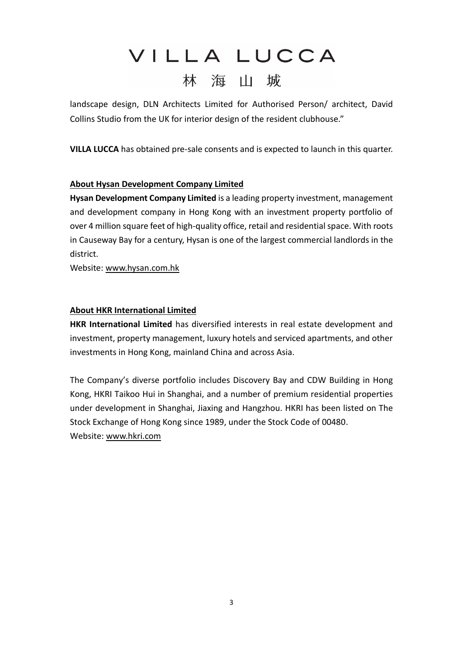landscape design, DLN Architects Limited for Authorised Person/ architect, David Collins Studio from the UK for interior design of the resident clubhouse."

**VILLA LUCCA** has obtained pre-sale consents and is expected to launch in this quarter.

#### **About Hysan Development Company Limited**

**Hysan Development Company Limited** is a leading property investment, management and development company in Hong Kong with an investment property portfolio of over 4 million square feet of high-quality office, retail and residential space. With roots in Causeway Bay for a century, Hysan is one of the largest commercial landlords in the district.

Website: [www.hysan.com.hk](http://www.hysan.com.hk/)

#### **About HKR International Limited**

**HKR International Limited** has diversified interests in real estate development and investment, property management, luxury hotels and serviced apartments, and other investments in Hong Kong, mainland China and across Asia.

The Company's diverse portfolio includes Discovery Bay and CDW Building in Hong Kong, HKRI Taikoo Hui in Shanghai, and a number of premium residential properties under development in Shanghai, Jiaxing and Hangzhou. HKRI has been listed on The Stock Exchange of Hong Kong since 1989, under the Stock Code of 00480. Website: [www.hkri.com](http://www.hkri.com/)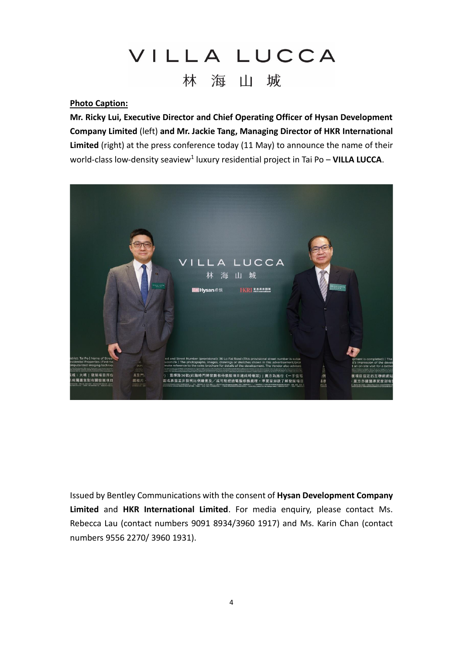#### **Photo Caption:**

**Mr. Ricky Lui, Executive Director and Chief Operating Officer of Hysan Development Company Limited** (left) **and Mr. Jackie Tang, Managing Director of HKR International Limited** (right) at the press conference today (11 May) to announce the name of their world-class low-density seaview<sup>1</sup> luxury residential project in Tai Po - VILLA LUCCA.



Issued by Bentley Communications with the consent of **Hysan Development Company Limited** and **HKR International Limited**. For media enquiry, please contact Ms. Rebecca Lau (contact numbers 9091 8934/3960 1917) and Ms. Karin Chan (contact numbers 9556 2270/ 3960 1931).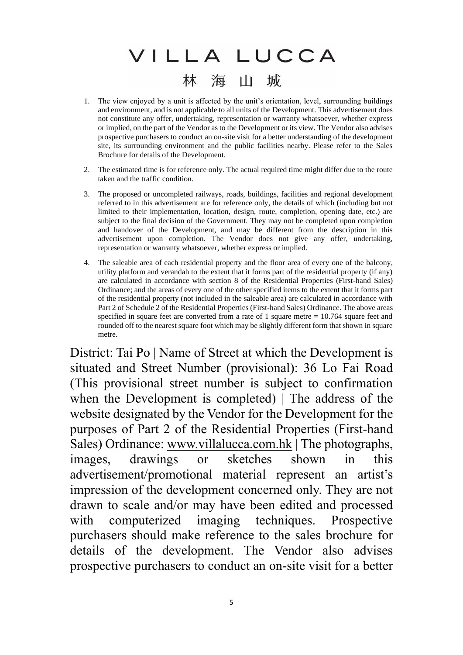- 1. The view enjoyed by a unit is affected by the unit's orientation, level, surrounding buildings and environment, and is not applicable to all units of the Development. This advertisement does not constitute any offer, undertaking, representation or warranty whatsoever, whether express or implied, on the part of the Vendor as to the Development or its view. The Vendor also advises prospective purchasers to conduct an on-site visit for a better understanding of the development site, its surrounding environment and the public facilities nearby. Please refer to the Sales Brochure for details of the Development.
- 2. The estimated time is for reference only. The actual required time might differ due to the route taken and the traffic condition.
- 3. The proposed or uncompleted railways, roads, buildings, facilities and regional development referred to in this advertisement are for reference only, the details of which (including but not limited to their implementation, location, design, route, completion, opening date, etc.) are subject to the final decision of the Government. They may not be completed upon completion and handover of the Development, and may be different from the description in this advertisement upon completion. The Vendor does not give any offer, undertaking, representation or warranty whatsoever, whether express or implied.
- 4. The saleable area of each residential property and the floor area of every one of the balcony, utility platform and verandah to the extent that it forms part of the residential property (if any) are calculated in accordance with section 8 of the Residential Properties (First-hand Sales) Ordinance; and the areas of every one of the other specified items to the extent that it forms part of the residential property (not included in the saleable area) are calculated in accordance with Part 2 of Schedule 2 of the Residential Properties (First-hand Sales) Ordinance. The above areas specified in square feet are converted from a rate of 1 square metre = 10.764 square feet and rounded off to the nearest square foot which may be slightly different form that shown in square metre.

District: Tai Po | Name of Street at which the Development is situated and Street Number (provisional): 36 Lo Fai Road (This provisional street number is subject to confirmation when the Development is completed) | The address of the website designated by the Vendor for the Development for the purposes of Part 2 of the Residential Properties (First-hand Sales) Ordinance: [www.villalucca.com.hk](http://www.villalucca.com.hk/) | The photographs, images, drawings or sketches shown in this advertisement/promotional material represent an artist's impression of the development concerned only. They are not drawn to scale and/or may have been edited and processed with computerized imaging techniques. Prospective purchasers should make reference to the sales brochure for details of the development. The Vendor also advises prospective purchasers to conduct an on-site visit for a better